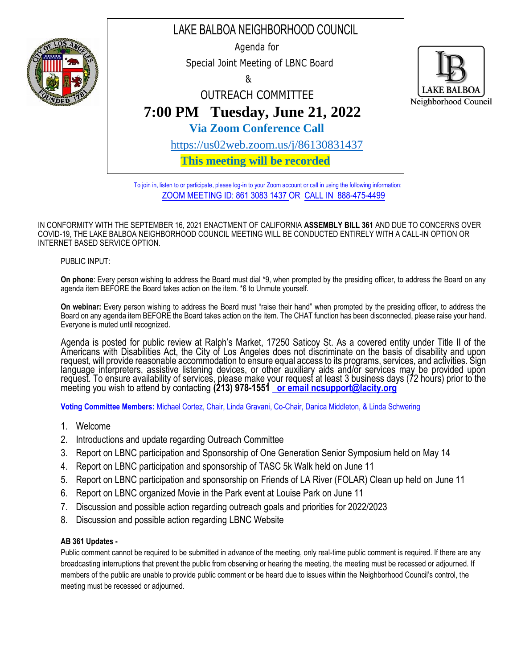

To join in, listen to or participate, please log-in to your Zoom account or call in using the following information: ZOOM MEETING ID: 861 3083 1437 OR CALL IN 888-475-4499

IN CONFORMITY WITH THE SEPTEMBER 16, 2021 ENACTMENT OF CALIFORNIA **ASSEMBLY BILL 361** AND DUE TO CONCERNS OVER COVID-19, THE LAKE BALBOA NEIGHBORHOOD COUNCIL MEETING WILL BE CONDUCTED ENTIRELY WITH A CALL-IN OPTION OR INTERNET BASED SERVICE OPTION.

## PUBLIC INPUT:

**On phone**: Every person wishing to address the Board must dial \*9, when prompted by the presiding officer, to address the Board on any agenda item BEFORE the Board takes action on the item. \*6 to Unmute yourself.

**On webinar:** Every person wishing to address the Board must "raise their hand" when prompted by the presiding officer, to address the Board on any agenda item BEFORE the Board takes action on the item. The CHAT function has been disconnected, please raise your hand. Everyone is muted until recognized.

Agenda is posted for public review at Ralph's Market, 17250 Saticoy St. As a covered entity under Title II of the Americans with Disabilities Act, the City of Los Angeles does not discriminate on the basis of disability and upon request, will provide reasonable accommodation to ensure equal access to its programs, services, and activities. Sign language interpreters, assistive listening devices, or other auxiliary aids and/or services may be provided upon request. To ensure availability of services, please make your request at least 3 business days (72 hours) prior to the meeting you wish to attend by contacting **(213) 978-1551 [or email ncsupport@lacity.org](mailto:__or_email_ncsupport@lacity.org)**

**Voting Committee Members:** Michael Cortez, Chair, Linda Gravani, Co-Chair, Danica Middleton, & Linda Schwering

- 1. Welcome
- 2. Introductions and update regarding Outreach Committee
- 3. Report on LBNC participation and Sponsorship of One Generation Senior Symposium held on May 14
- 4. Report on LBNC participation and sponsorship of TASC 5k Walk held on June 11
- 5. Report on LBNC participation and sponsorship on Friends of LA River (FOLAR) Clean up held on June 11
- 6. Report on LBNC organized Movie in the Park event at Louise Park on June 11
- 7. Discussion and possible action regarding outreach goals and priorities for 2022/2023
- 8. Discussion and possible action regarding LBNC Website

## **AB 361 Updates -**

Public comment cannot be required to be submitted in advance of the meeting, only real-time public comment is required. If there are any broadcasting interruptions that prevent the public from observing or hearing the meeting, the meeting must be recessed or adjourned. If members of the public are unable to provide public comment or be heard due to issues within the Neighborhood Council's control, the meeting must be recessed or adjourned.